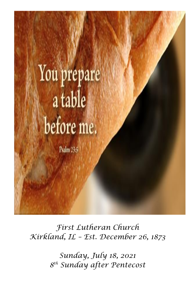

*First Lutheran Church Kirkland, IL – Est. December 26, 1873*

> *Sunday, July 18, 2021 8 th Sunday after Pentecost*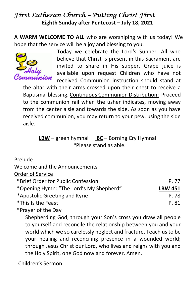# *First Lutheran Church – Putting Christ First*  **Eighth Sunday after Pentecost – July 18, 2021**

**A WARM WELCOME TO ALL** who are worshiping with us today! We hope that the service will be a joy and blessing to you.



Today we celebrate the Lord's Supper. All who believe that Christ is present in this Sacrament are invited to share in His supper. Grape juice is available upon request Children who have not received Communion instruction should stand at

the altar with their arms crossed upon their chest to receive a Baptismal blessing. Continuous Communion Distribution: Proceed to the communion rail when the usher indicates, moving away from the center aisle and towards the side. As soon as you have received communion, you may return to your pew, using the side aisle.

## **LBW** – green hymnal **BC** – Borning Cry Hymnal \*Please stand as able.

#### Prelude

Welcome and the Announcements

#### Order of Service

| *Brief Order for Public Confession      | P 77           |
|-----------------------------------------|----------------|
| *Opening Hymn: "The Lord's My Shepherd" | <b>LBW 451</b> |
| *Apostolic Greeting and Kyrie           | P. 78          |
| *This Is the Feast                      | P. 81          |
|                                         |                |

\*Prayer of the Day

Shepherding God, through your Son's cross you draw all people to yourself and reconcile the relationship between you and your world which we so carelessly neglect and fracture. Teach us to be your healing and reconciling presence in a wounded world; through Jesus Christ our Lord, who lives and reigns with you and the Holy Spirit, one God now and forever. Amen.

Children's Sermon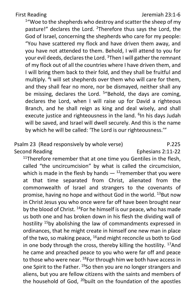First Reading Jeremiah 23:1-6

<sup>1</sup> "Woe to the shepherds who destroy and scatter the sheep of my pasture!" declares the Lord. <sup>2</sup>Therefore thus says the Lord, the God of Israel, concerning the shepherds who care for my people: "You have scattered my flock and have driven them away, and you have not attended to them. Behold, I will attend to you for your evil deeds, declares the Lord. <sup>3</sup>Then I will gather the remnant of my flock out of all the countries where I have driven them, and I will bring them back to their fold, and they shall be fruitful and multiply. <sup>4</sup>I will set shepherds over them who will care for them, and they shall fear no more, nor be dismayed, neither shall any be missing, declares the Lord. <sup>5</sup>"Behold, the days are coming, declares the Lord, when I will raise up for David a righteous Branch, and he shall reign as king and deal wisely, and shall execute justice and righteousness in the land. <sup>6</sup>In his days Judah will be saved, and Israel will dwell securely. And this is the name by which he will be called: 'The Lord is our righteousness.'"

#### Psalm 23 (Read responsively by whole verse) P.225 Second Reading Ephesians 2:11-22

 $11$ Therefore remember that at one time you Gentiles in the flesh, called "the uncircumcision" by what is called the circumcision, which is made in the flesh by hands  $-$  <sup>12</sup>remember that you were at that time separated from Christ, alienated from the commonwealth of Israel and strangers to the covenants of promise, having no hope and without God in the world. <sup>13</sup>But now in Christ Jesus you who once were far off have been brought near by the blood of Christ. <sup>14</sup>For he himself is our peace, who has made us both one and has broken down in his flesh the dividing wall of hostility <sup>15</sup>by abolishing the law of commandments expressed in ordinances, that he might create in himself one new man in place of the two, so making peace, <sup>16</sup>and might reconcile us both to God in one body through the cross, thereby killing the hostility.  $17$ And he came and preached peace to you who were far off and peace to those who were near. <sup>18</sup>For through him we both have access in one Spirit to the Father. <sup>19</sup>So then you are no longer strangers and aliens, but you are fellow citizens with the saints and members of the household of God, <sup>20</sup>built on the foundation of the apostles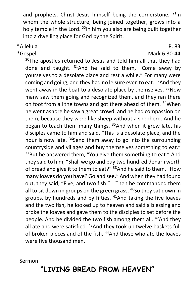and prophets, Christ Jesus himself being the cornerstone,  $21$ in whom the whole structure, being joined together, grows into a holy temple in the Lord.  $^{22}$ In him you also are being built together into a dwelling place for God by the Spirit.

#### \*Alleluia P. 83

 \*Gospel Mark 6:30-44 30The apostles returned to Jesus and told him all that they had done and taught.  $31$ And he said to them, "Come away by yourselves to a desolate place and rest a while." For many were coming and going, and they had no leisure even to eat. <sup>32</sup>And they went away in the boat to a desolate place by themselves. 33Now many saw them going and recognized them, and they ran there on foot from all the towns and got there ahead of them. <sup>34</sup>When he went ashore he saw a great crowd, and he had compassion on them, because they were like sheep without a shepherd. And he began to teach them many things.  $35$ And when it grew late, his disciples came to him and said, "This is a desolate place, and the hour is now late.  $36$ Send them away to go into the surrounding countryside and villages and buy themselves something to eat." <sup>37</sup>But he answered them, "You give them something to eat." And they said to him, "Shall we go and buy two hundred denarii worth of bread and give it to them to eat?" <sup>38</sup>And he said to them, "How many loaves do you have? Go and see." And when they had found out, they said, "Five, and two fish." <sup>39</sup>Then he commanded them all to sit down in groups on the green grass.  $40$ So they sat down in groups, by hundreds and by fifties.  $41$ And taking the five loaves and the two fish, he looked up to heaven and said a blessing and broke the loaves and gave them to the disciples to set before the people. And he divided the two fish among them all. <sup>42</sup>And they all ate and were satisfied. <sup>43</sup> And they took up twelve baskets full of broken pieces and of the fish. <sup>44</sup>And those who ate the loaves were five thousand men.

Sermon:

# **"LIVING BREAD FROM HEAVEN"**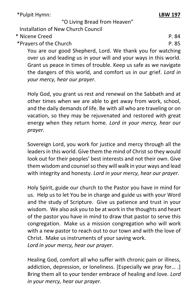\*Pulpit Hymn: **LBW 197**

"O Living Bread from Heaven"

Installation of New Church Council

\* Nicene Creed P. 84

\*Prayers of the Church P. 85

You are our good Shepherd, Lord. We thank you for watching over us and leading us in your will and your ways in this world. Grant us peace in times of trouble. Keep us safe as we navigate the dangers of this world, and comfort us in our grief. *Lord in your mercy, hear our prayer.*

Holy God, you grant us rest and renewal on the Sabbath and at other times when we are able to get away from work, school, and the daily demands of life. Be with all who are traveling or on vacation, so they may be rejuvenated and restored with great energy when they return home. *Lord in your mercy, hear our prayer.*

Sovereign Lord, you work for justice and mercy through all the leaders in this world. Give them the mind of Christ so they would look out for their peoples' best interests and not their own. Give them wisdom and counsel so they will walk in your ways and lead with integrity and honesty. *Lord in your mercy, hear our prayer.*

Holy Spirit, guide our church to the Pastor you have in mind for us. Help us to let You be in charge and guide us with your Word and the study of Scripture. Give us patience and trust in your wisdom. We also ask you to be at work in the thoughts and heart of the pastor you have in mind to draw that pastor to serve this congregation. Make us a mission congregation who will work with a new pastor to reach out to our town and with the love of Christ. Make us instruments of your saving work. *Lord in your mercy, hear our prayer.*

Healing God, comfort all who suffer with chronic pain or illness, addiction, depression, or loneliness. [Especially we pray for… .] Bring them all to your tender embrace of healing and love. *Lord in your mercy, hear our prayer.*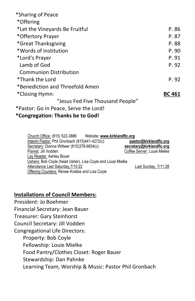| *Sharing of Peace                     |               |
|---------------------------------------|---------------|
| *Offering                             |               |
| *Let the Vineyards Be Fruitful        | P.86          |
| *Offertory Prayer                     | P. 87         |
| *Great Thanksgiving                   | P.88          |
| *Words of Institution                 | P. 90         |
| *Lord's Prayer                        | P. 91         |
| Lamb of God                           | P. 92         |
| <b>Communion Distribution</b>         |               |
| *Thank the Lord                       | P. 92         |
| *Benediction and Threefold Amen       |               |
| *Closing Hymn:                        | <b>BC 461</b> |
| "Jesus Fed Five Thousand People"      |               |
| *Pastor: Go in Peace, Serve the Lord! |               |
|                                       |               |

#### **\*Congregation: Thanks be to God!**

| Website: www.kirklandflc.org<br>Church Office: (815) 522-3886 |                             |
|---------------------------------------------------------------|-----------------------------|
| Interim Pastor: Phil Gronbach (815)441-4272(c)                | pastor@kirklandflc.org      |
| Secretary: Dianna Wittwer (815)378-6654(c)                    | secretary@kirklandflc.org   |
| Pianist: Jill Vodden                                          | Coffee Server: Louie Mielke |
| Lay Reader: Ashley Boyer                                      |                             |
| Ushers: Bob Coyle (head Usher), Lisa Coyle and Louie Mielke   |                             |
| Attendance Last Saturday, 7/10:22                             | Last Sunday, 7/11:28        |
| <b>Offering Counters: Renee Krabbe and Lisa Coyle</b>         |                             |

#### **Installations of Council Members:**

President: Jo Boehmer Financial Secretary: Jean Bauer Treasurer: Gary Steinhorst Council Secretary: Jill Vodden

Congregational Life Directors:

Property: Bob Coyle

Fellowship: Louie Mielke

Food Pantry/Clothes Closet: Roger Bauer

Stewardship: Dan Pahnke

Learning Team, Worship & Music: Pastor Phil Gronbach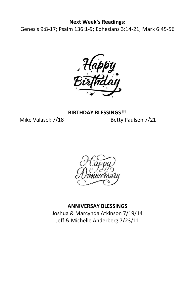#### **Next Week's Readings:**

Genesis 9:8-17; Psalm 136:1-9; Ephesians 3:14-21; Mark 6:45-56



#### **BIRTHDAY BLESSINGS!!!**

Mike Valasek 7/18 Betty Paulsen 7/21



#### **ANNIVERSAY BLESSINGS**

Joshua & Marcynda Atkinson 7/19/14 Jeff & Michelle Anderberg 7/23/11